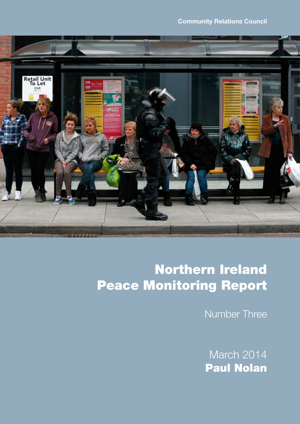## **Community Relations Council**



# Northern Ireland Peace Monitoring Report

Number Three

March 2014 Paul Nolan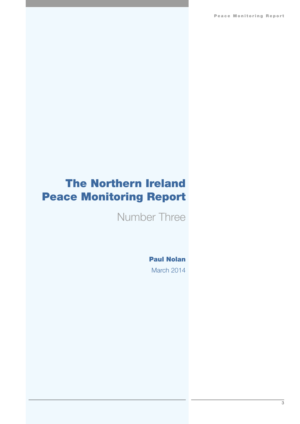Peace Monitoring Report

## The Northern Ireland Peace Monitoring Report

Number Three

## Paul Nolan

March 2014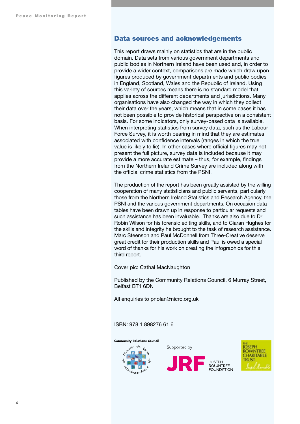#### Data sources and acknowledgements

This report draws mainly on statistics that are in the public domain. Data sets from various government departments and public bodies in Northern Ireland have been used and, in order to provide a wider context, comparisons are made which draw upon figures produced by government departments and public bodies in England, Scotland, Wales and the Republic of Ireland. Using this variety of sources means there is no standard model that applies across the different departments and jurisdictions. Many organisations have also changed the way in which they collect their data over the years, which means that in some cases it has not been possible to provide historical perspective on a consistent basis. For some indicators, only survey-based data is available. When interpreting statistics from survey data, such as the Labour Force Survey, it is worth bearing in mind that they are estimates associated with confidence intervals (ranges in which the true value is likely to lie). In other cases where official figures may not present the full picture, survey data is included because it may provide a more accurate estimate – thus, for example, findings from the Northern Ireland Crime Survey are included along with the official crime statistics from the PSNI.

The production of the report has been greatly assisted by the willing cooperation of many statisticians and public servants, particularly those from the Northern Ireland Statistics and Research Agency, the PSNI and the various government departments. On occasion data tables have been drawn up in response to particular requests and such assistance has been invaluable. Thanks are also due to Dr Robin Wilson for his forensic editing skills, and to Ciaran Hughes for the skills and integrity he brought to the task of research assistance. Marc Steenson and Paul McDonnell from Three-Creative deserve great credit for their production skills and Paul is owed a special word of thanks for his work on creating the infographics for this third report.

Cover pic: Cathal MacNaughton

Published by the Community Relations Council, 6 Murray Street, Belfast BT1 6DN

All enquiries to pnolan@nicrc.org.uk

#### ISBN: 978 1 898276 61 6

**Community Relations Council** 





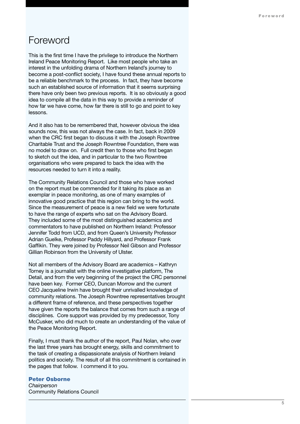## Foreword

This is the first time I have the privilege to introduce the Northern Ireland Peace Monitoring Report. Like most people who take an interest in the unfolding drama of Northern Ireland's journey to become a post-conflict society, I have found these annual reports to be a reliable benchmark to the process. In fact, they have become such an established source of information that it seems surprising there have only been two previous reports. It is so obviously a good idea to compile all the data in this way to provide a reminder of how far we have come, how far there is still to go and point to key lessons.

And it also has to be remembered that, however obvious the idea sounds now, this was not always the case. In fact, back in 2009 when the CRC first began to discuss it with the Joseph Rowntree Charitable Trust and the Joseph Rowntree Foundation, there was no model to draw on. Full credit then to those who first began to sketch out the idea, and in particular to the two Rowntree organisations who were prepared to back the idea with the resources needed to turn it into a reality.

The Community Relations Council and those who have worked on the report must be commended for it taking its place as an exemplar in peace monitoring, as one of many examples of innovative good practice that this region can bring to the world. Since the measurement of peace is a new field we were fortunate to have the range of experts who sat on the Advisory Board. They included some of the most distinguished academics and commentators to have published on Northern Ireland: Professor Jennifer Todd from UCD, and from Queen's University Professor Adrian Guelke, Professor Paddy Hillyard, and Professor Frank Gaffikin. They were joined by Professor Neil Gibson and Professor Gillian Robinson from the University of Ulster.

Not all members of the Advisory Board are academics – Kathryn Torney is a journalist with the online investigative platform, The Detail, and from the very beginning of the project the CRC personnel have been key. Former CEO, Duncan Morrow and the current CEO Jacqueline Irwin have brought their unrivalled knowledge of community relations. The Joseph Rowntree representatives brought a different frame of reference, and these perspectives together have given the reports the balance that comes from such a range of disciplines. Core support was provided by my predecessor, Tony McCusker, who did much to create an understanding of the value of the Peace Monitoring Report.

Finally, I must thank the author of the report, Paul Nolan, who over the last three years has brought energy, skills and commitment to the task of creating a dispassionate analysis of Northern Ireland politics and society. The result of all this commitment is contained in the pages that follow. I commend it to you.

#### Peter Osborne

*Chairperson* Community Relations Council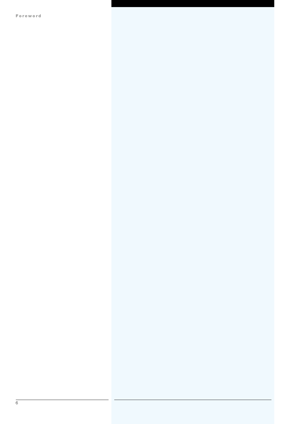Foreword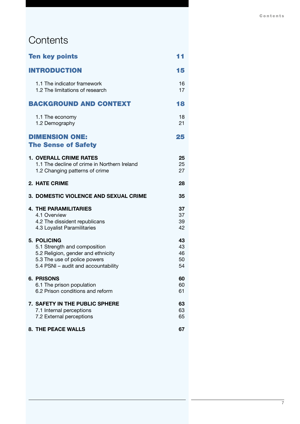## **Contents**

| <b>Ten key points</b> |                                                                                                                                                                 | 11                         |
|-----------------------|-----------------------------------------------------------------------------------------------------------------------------------------------------------------|----------------------------|
|                       | <b>INTRODUCTION</b>                                                                                                                                             | 15                         |
|                       | 1.1 The indicator framework<br>1.2 The limitations of research                                                                                                  | 16<br>17                   |
|                       | <b>BACKGROUND AND CONTEXT</b>                                                                                                                                   | 18                         |
|                       | 1.1 The economy<br>1.2 Demography                                                                                                                               | 18<br>21                   |
|                       | <b>DIMENSION ONE:</b><br><b>The Sense of Safety</b>                                                                                                             | 25                         |
|                       | <b>1. OVERALL CRIME RATES</b><br>1.1 The decline of crime in Northern Ireland<br>1.2 Changing patterns of crime                                                 | 25<br>25<br>27             |
|                       | 2. HATE CRIME                                                                                                                                                   | 28                         |
|                       | 3. DOMESTIC VIOLENCE AND SEXUAL CRIME                                                                                                                           | 35                         |
|                       |                                                                                                                                                                 |                            |
|                       | <b>4. THE PARAMILITARIES</b><br>4.1 Overview<br>4.2 The dissident republicans<br>4.3 Loyalist Paramilitaries                                                    | 37<br>37<br>39<br>42       |
|                       | <b>5. POLICING</b><br>5.1 Strength and composition<br>5.2 Religion, gender and ethnicity<br>5.3 The use of police powers<br>5.4 PSNI - audit and accountability | 43<br>43<br>46<br>50<br>54 |
|                       | 6. PRISONS<br>6.1 The prison population<br>6.2 Prison conditions and reform                                                                                     | 60<br>60<br>61             |
|                       | 7. SAFETY IN THE PUBLIC SPHERE<br>7.1 Internal perceptions<br>7.2 External perceptions                                                                          | 63<br>63<br>65             |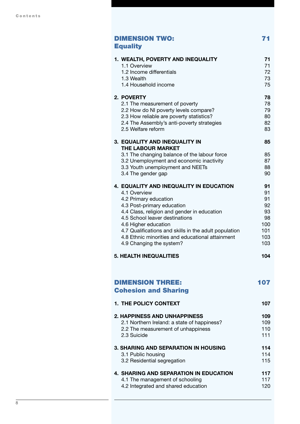| <b>DIMENSION TWO:</b><br><b>Equality</b>                                                                                                                                                                                                                                                                                                                         | 71                                                           |
|------------------------------------------------------------------------------------------------------------------------------------------------------------------------------------------------------------------------------------------------------------------------------------------------------------------------------------------------------------------|--------------------------------------------------------------|
| 1. WEALTH, POVERTY AND INEQUALITY<br>1.1 Overview<br>1.2 Income differentials<br>1.3 Wealth<br>1.4 Household income                                                                                                                                                                                                                                              | 71<br>71<br>72<br>73<br>75                                   |
| 2. POVERTY<br>2.1 The measurement of poverty<br>2.2 How do NI poverty levels compare?<br>2.3 How reliable are poverty statistics?<br>2.4 The Assembly's anti-poverty strategies<br>2.5 Welfare reform                                                                                                                                                            | 78<br>78<br>79<br>80<br>82<br>83                             |
| <b>3. EQUALITY AND INEQUALITY IN</b><br><b>THE LABOUR MARKET</b><br>3.1 The changing balance of the labour force<br>3.2 Unemployment and economic inactivity<br>3.3 Youth unemployment and NEETs<br>3.4 The gender gap                                                                                                                                           | 85<br>85<br>87<br>88<br>90                                   |
| 4. EQUALITY AND INEQUALITY IN EDUCATION<br>4.1 Overview<br>4.2 Primary education<br>4.3 Post-primary education<br>4.4 Class, religion and gender in education<br>4.5 School leaver destinations<br>4.6 Higher education<br>4.7 Qualifications and skills in the adult population<br>4.8 Ethnic minorities and educational attainment<br>4.9 Changing the system? | 91<br>91<br>91<br>92<br>93<br>98<br>100<br>101<br>103<br>103 |
| <b>5. HEALTH INEQUALITIES</b>                                                                                                                                                                                                                                                                                                                                    | 104                                                          |
| <b>DIMENSION THREE:</b><br><b>Cohesion and Sharing</b>                                                                                                                                                                                                                                                                                                           | 107                                                          |
| 1. THE POLICY CONTEXT                                                                                                                                                                                                                                                                                                                                            | 107                                                          |
| <b>2. HAPPINESS AND UNHAPPINESS</b><br>2.1 Northern Ireland: a state of happiness?<br>2.2 The measurement of unhappiness<br>2.3 Suicide                                                                                                                                                                                                                          | 109<br>109<br>110<br>111                                     |
| <b>3. SHARING AND SEPARATION IN HOUSING</b><br>3.1 Public housing<br>3.2 Residential segregation                                                                                                                                                                                                                                                                 | 114<br>114<br>115                                            |
| <b>4. SHARING AND SEPARATION IN EDUCATION</b><br>4.1 The management of schooling<br>4.2 Integrated and shared education                                                                                                                                                                                                                                          | 117<br>117<br>120                                            |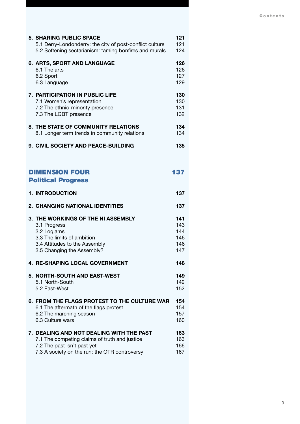| <b>5. SHARING PUBLIC SPACE</b>                                                                                     | 121        |  |
|--------------------------------------------------------------------------------------------------------------------|------------|--|
| 5.1 Derry-Londonderry: the city of post-conflict culture<br>5.2 Softening sectarianism: taming bonfires and murals | 121<br>124 |  |
| 6. ARTS, SPORT AND LANGUAGE                                                                                        | 126        |  |
| 6.1 The arts                                                                                                       | 126        |  |
| 6.2 Sport                                                                                                          | 127<br>129 |  |
| 6.3 Language                                                                                                       |            |  |
| <b>7. PARTICIPATION IN PUBLIC LIFE</b>                                                                             | 130        |  |
| 7.1 Women's representation                                                                                         | 130        |  |
| 7.2 The ethnic-minority presence                                                                                   | 131<br>132 |  |
| 7.3 The LGBT presence                                                                                              |            |  |
| 8. THE STATE OF COMMUNITY RELATIONS                                                                                | 134        |  |
| 8.1 Longer term trends in community relations                                                                      | 134        |  |
| 9. CIVIL SOCIETY AND PEACE-BUILDING                                                                                | 135        |  |
|                                                                                                                    |            |  |
| <b>DIMENSION FOUR</b>                                                                                              | 137        |  |
| <b>Political Progress</b>                                                                                          |            |  |
| <b>1. INTRODUCTION</b>                                                                                             | 137        |  |
|                                                                                                                    |            |  |
| <b>2. CHANGING NATIONAL IDENTITIES</b>                                                                             | 137        |  |
| 3. THE WORKINGS OF THE NI ASSEMBLY                                                                                 | 141        |  |
| 3.1 Progress                                                                                                       | 143        |  |
| 3.2 Logjams                                                                                                        | 144        |  |
| 3.3 The limits of ambition                                                                                         | 146        |  |
| 3.4 Attitudes to the Assembly                                                                                      | 146        |  |
| 3.5 Changing the Assembly?                                                                                         | 147        |  |
| <b>4. RE-SHAPING LOCAL GOVERNMENT</b>                                                                              | 148        |  |
| 5. NORTH-SOUTH AND EAST-WEST                                                                                       | 149        |  |
| 5.1 North-South                                                                                                    | 149        |  |
| 5.2 East-West                                                                                                      | 152        |  |
| 6. FROM THE FLAGS PROTEST TO THE CULTURE WAR                                                                       | 154        |  |
| 6.1 The aftermath of the flags protest                                                                             | 154        |  |
| 6.2 The marching season                                                                                            | 157        |  |
| 6.3 Culture wars                                                                                                   | 160        |  |
| 7. DEALING AND NOT DEALING WITH THE PAST                                                                           | 163        |  |
| 7.1 The competing claims of truth and justice                                                                      | 163        |  |
| 7.2 The past isn't past yet<br>7.3 A society on the run: the OTR controversy                                       | 166<br>167 |  |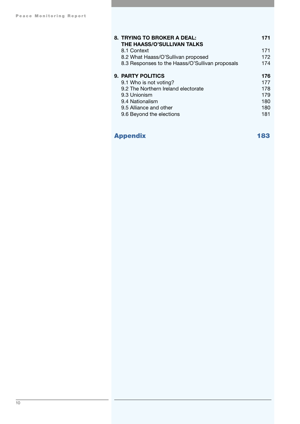| 8. TRYING TO BROKER A DEAL:<br>THE HAASS/O'SULLIVAN TALKS | 171 |
|-----------------------------------------------------------|-----|
| 8.1 Context                                               | 171 |
| 8.2 What Haass/O'Sullivan proposed                        | 172 |
| 8.3 Responses to the Haass/O'Sullivan proposals           | 174 |
| <b>9. PARTY POLITICS</b>                                  | 176 |
| 9.1 Who is not voting?                                    | 177 |
| 9.2 The Northern Ireland electorate                       | 178 |
| 9.3 Unionism                                              | 179 |
| 9.4 Nationalism                                           | 180 |
| 9.5 Alliance and other                                    | 180 |
| 9.6 Beyond the elections                                  | 181 |
|                                                           |     |

## Appendix 183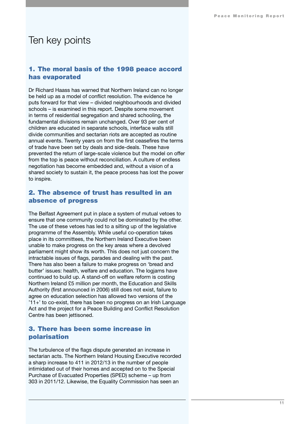## Ten key points

### 1. The moral basis of the 1998 peace accord has evaporated

Dr Richard Haass has warned that Northern Ireland can no longer be held up as a model of conflict resolution. The evidence he puts forward for that view – divided neighbourhoods and divided schools – is examined in this report. Despite some movement in terms of residential segregation and shared schooling, the fundamental divisions remain unchanged. Over 93 per cent of children are educated in separate schools, interface walls still divide communities and sectarian riots are accepted as routine annual events. Twenty years on from the first ceasefires the terms of trade have been set by deals and side-deals. These have prevented the return of large-scale violence but the model on offer from the top is peace without reconciliation. A culture of endless negotiation has become embedded and, without a vision of a shared society to sustain it, the peace process has lost the power to inspire.

### 2. The absence of trust has resulted in an absence of progress

The Belfast Agreement put in place a system of mutual vetoes to ensure that one community could not be dominated by the other. The use of these vetoes has led to a silting up of the legislative programme of the Assembly. While useful co-operation takes place in its committees, the Northern Ireland Executive been unable to make progress on the key areas where a devolved parliament might show its worth. This does not just concern the intractable issues of flags, parades and dealing with the past. There has also been a failure to make progress on 'bread and butter' issues: health, welfare and education. The logjams have continued to build up. A stand-off on welfare reform is costing Northern Ireland £5 million per month, the Education and Skills Authority (first announced in 2006) still does not exist, failure to agree on education selection has allowed two versions of the '11+' to co-exist, there has been no progress on an Irish Language Act and the project for a Peace Building and Conflict Resolution Centre has been jettisoned.

## 3. There has been some increase in polarisation

The turbulence of the flags dispute generated an increase in sectarian acts. The Northern Ireland Housing Executive recorded a sharp increase to 411 in 2012/13 in the number of people intimidated out of their homes and accepted on to the Special Purchase of Evacuated Properties (SPED) scheme – up from 303 in 2011/12. Likewise, the Equality Commission has seen an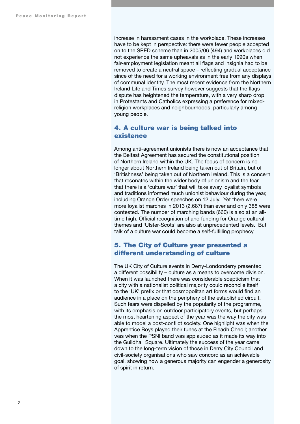increase in harassment cases in the workplace. These increases have to be kept in perspective: there were fewer people accepted on to the SPED scheme than in 2005/06 (494) and workplaces did not experience the same upheavals as in the early 1990s when fair-employment legislation meant all flags and insignia had to be removed to create a neutral space – reflecting gradual acceptance since of the need for a working environment free from any displays of communal identity. The most recent evidence from the Northern Ireland Life and Times survey however suggests that the flags dispute has heightened the temperature, with a very sharp drop in Protestants and Catholics expressing a preference for mixedreligion workplaces and neighbourhoods, particularly among young people.

## 4. A culture war is being talked into existence

Among anti-agreement unionists there is now an acceptance that the Belfast Agreement has secured the constitutional position of Northern Ireland within the UK. The focus of concern is no longer about Northern Ireland being taken out of Britain, but of 'Britishness' being taken out of Northern Ireland. This is a concern that resonates within the wider body of unionism and the fear that there is a 'culture war' that will take away loyalist symbols and traditions informed much unionist behaviour during the year, including Orange Order speeches on 12 July. Yet there were more loyalist marches in 2013 (2,687) than ever and only 388 were contested. The number of marching bands (660) is also at an alltime high. Official recognition of and funding for Orange cultural themes and 'Ulster-Scots' are also at unprecedented levels. But talk of a culture war could become a self-fulfilling prophecy.

## 5. The City of Culture year presented a different understanding of culture

The UK City of Culture events in Derry-Londonderry presented a different possibility – culture as a means to overcome division. When it was launched there was considerable scepticism that a city with a nationalist political majority could reconcile itself to the 'UK' prefix or that cosmopolitan art forms would find an audience in a place on the periphery of the established circuit. Such fears were dispelled by the popularity of the programme, with its emphasis on outdoor participatory events, but perhaps the most heartening aspect of the year was the way the city was able to model a post-conflict society. One highlight was when the Apprentice Boys played their tunes at the Fleadh Cheoil; another was when the PSNI band was applauded as it made its way into the Guildhall Square. Ultimately the success of the year came down to the long-term vision of those in Derry City Council and civil-society organisations who saw concord as an achievable goal, showing how a generous majority can engender a generosity of spirit in return.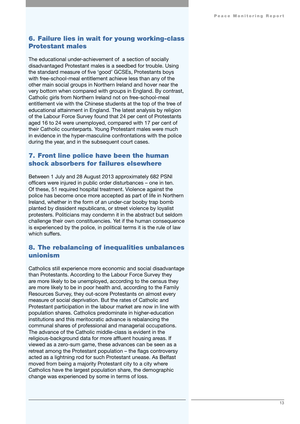### 6. Failure lies in wait for young working-class Protestant males

The educational under-achievement of a section of socially disadvantaged Protestant males is a seedbed for trouble. Using the standard measure of five 'good' GCSEs, Protestants boys with free-school-meal entitlement achieve less than any of the other main social groups in Northern Ireland and hover near the very bottom when compared with groups in England. By contrast, Catholic girls from Northern Ireland not on free-school-meal entitlement vie with the Chinese students at the top of the tree of educational attainment in England. The latest analysis by religion of the Labour Force Survey found that 24 per cent of Protestants aged 16 to 24 were unemployed, compared with 17 per cent of their Catholic counterparts. Young Protestant males were much in evidence in the hyper-masculine confrontations with the police during the year, and in the subsequent court cases.

## 7. Front line police have been the human shock absorbers for failures elsewhere

Between 1 July and 28 August 2013 approximately 682 PSNI officers were injured in public order disturbances – one in ten. Of these, 51 required hospital treatment. Violence against the police has become once more accepted as part of life in Northern Ireland, whether in the form of an under-car booby trap bomb planted by dissident republicans, or street violence by loyalist protesters. Politicians may condemn it in the abstract but seldom challenge their own constituencies. Yet if the human consequence is experienced by the police, in political terms it is the rule of law which suffers.

### 8. The rebalancing of inequalities unbalances unionism

Catholics still experience more economic and social disadvantage than Protestants. According to the Labour Force Survey they are more likely to be unemployed, according to the census they are more likely to be in poor health and, according to the Family Resources Survey, they out-score Protestants on almost every measure of social deprivation. But the rates of Catholic and Protestant participation in the labour market are now in line with population shares. Catholics predominate in higher-education institutions and this meritocratic advance is rebalancing the communal shares of professional and managerial occupations. The advance of the Catholic middle-class is evident in the religious-background data for more affluent housing areas. If viewed as a zero-sum game, these advances can be seen as a retreat among the Protestant population – the flags controversy acted as a lightning rod for such Protestant unease. As Belfast moved from being a majority Protestant city to a city where Catholics have the largest population share, the demographic change was experienced by some in terms of loss.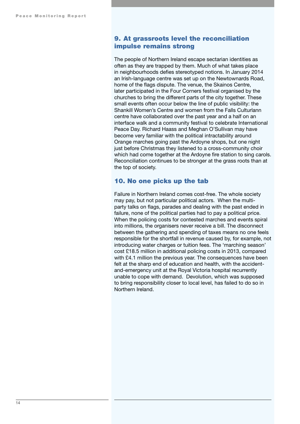## 9. At grassroots level the reconciliation impulse remains strong

The people of Northern Ireland escape sectarian identities as often as they are trapped by them. Much of what takes place in neighbourhoods defies stereotyped notions. In January 2014 an Irish-language centre was set up on the Newtownards Road, home of the flags dispute. The venue, the Skainos Centre, later participated in the Four Corners festival organised by the churches to bring the different parts of the city together. These small events often occur below the line of public visibility: the Shankill Women's Centre and women from the Falls Culturlann centre have collaborated over the past year and a half on an interface walk and a community festival to celebrate International Peace Day. Richard Haass and Meghan O'Sullivan may have become very familiar with the political intractability around Orange marches going past the Ardoyne shops, but one night just before Christmas they listened to a cross-community choir which had come together at the Ardoyne fire station to sing carols. Reconciliation continues to be stronger at the grass roots than at the top of society.

## 10. No one picks up the tab

Failure in Northern Ireland comes cost-free. The whole society may pay, but not particular political actors. When the multiparty talks on flags, parades and dealing with the past ended in failure, none of the political parties had to pay a political price. When the policing costs for contested marches and events spiral into millions, the organisers never receive a bill. The disconnect between the gathering and spending of taxes means no one feels responsible for the shortfall in revenue caused by, for example, not introducing water charges or tuition fees. The 'marching season' cost £18.5 million in additional policing costs in 2013, compared with £4.1 million the previous year. The consequences have been felt at the sharp end of education and health, with the accidentand-emergency unit at the Royal Victoria hospital recurrently unable to cope with demand. Devolution, which was supposed to bring responsibility closer to local level, has failed to do so in Northern Ireland.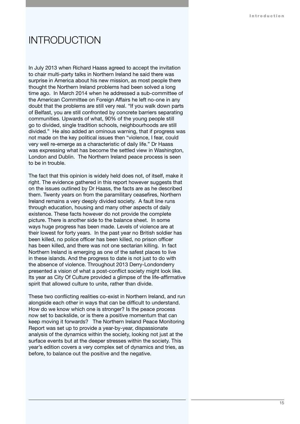## INTRODUCTION

In July 2013 when Richard Haass agreed to accept the invitation to chair multi-party talks in Northern Ireland he said there was surprise in America about his new mission, as most people there thought the Northern Ireland problems had been solved a long time ago. In March 2014 when he addressed a sub-committee of the American Committee on Foreign Affairs he left no-one in any doubt that the problems are still very real. "If you walk down parts of Belfast, you are still confronted by concrete barriers separating communities. Upwards of what, 90% of the young people still go to divided, single tradition schools, neighbourhoods are still divided." He also added an ominous warning, that if progress was not made on the key political issues then "violence, I fear, could very well re-emerge as a characteristic of daily life." Dr Haass was expressing what has become the settled view in Washington, London and Dublin. The Northern Ireland peace process is seen to be in trouble.

The fact that this opinion is widely held does not, of itself, make it right. The evidence gathered in this report however suggests that on the issues outlined by Dr Haass, the facts are as he described them. Twenty years on from the paramilitary ceasefires, Northern Ireland remains a very deeply divided society. A fault line runs through education, housing and many other aspects of daily existence. These facts however do not provide the complete picture. There is another side to the balance sheet. In some ways huge progress has been made. Levels of violence are at their lowest for forty years. In the past year no British soldier has been killed, no police officer has been killed, no prison officer has been killed, and there was not one sectarian killing. In fact Northern Ireland is emerging as one of the safest places to live in these islands. And the progress to date is not just to do with the absence of violence. Throughout 2013 Derry-Londonderry presented a vision of what a post-conflict society might look like. Its year as City Of Culture provided a glimpse of the life-affirmative spirit that allowed culture to unite, rather than divide.

These two conflicting realities co-exist in Northern Ireland, and run alongside each other in ways that can be difficult to understand. How do we know which one is stronger? Is the peace process now set to backslide, or is there a positive momentum that can keep moving it forwards? The Northern Ireland Peace Monitoring Report was set up to provide a year-by-year, dispassionate analysis of the dynamics within the society, looking not just at the surface events but at the deeper stresses within the society. This year's edition covers a very complex set of dynamics and tries, as before, to balance out the positive and the negative.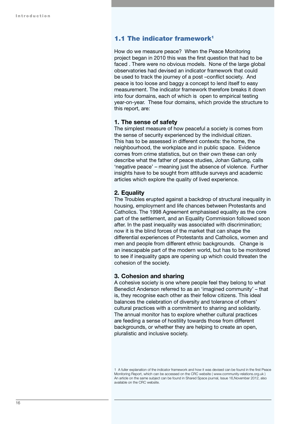### 1.1 The indicator framework1

How do we measure peace? When the Peace Monitoring project began in 2010 this was the first question that had to be faced . There were no obvious models. None of the large global observatories had devised an indicator framework that could be used to track the journey of a post –conflict society. And peace is too loose and baggy a concept to lend itself to easy measurement. The indicator framework therefore breaks it down into four domains, each of which is open to empirical testing year-on-year. These four domains, which provide the structure to this report, are:

#### **1. The sense of safety**

The simplest measure of how peaceful a society is comes from the sense of security experienced by the individual citizen. This has to be assessed in different contexts: the home, the neighbourhood, the workplace and in public space. Evidence comes from crime statistics, but on their own these can only describe what the father of peace studies, Johan Galtung, calls 'negative peace' – meaning just the absence of violence. Further insights have to be sought from attitude surveys and academic articles which explore the quality of lived experience.

#### **2. Equality**

The Troubles erupted against a backdrop of structural inequality in housing, employment and life chances between Protestants and Catholics. The 1998 Agreement emphasised equality as the core part of the settlement, and an Equality Commission followed soon after. In the past inequality was associated with discrimination; now it is the blind forces of the market that can shape the differential experiences of Protestants and Catholics, women and men and people from different ethnic backgrounds. Change is an inescapable part of the modern world, but has to be monitored to see if inequality gaps are opening up which could threaten the cohesion of the society.

#### **3. Cohesion and sharing**

A cohesive society is one where people feel they belong to what Benedict Anderson referred to as an 'imagined community' – that is, they recognise each other as their fellow citizens. This ideal balances the celebration of diversity and tolerance of others' cultural practices with a commitment to sharing and solidarity. The annual monitor has to explore whether cultural practices are feeding a sense of hostility towards those from different backgrounds, or whether they are helping to create an open, pluralistic and inclusive society.

1 A fuller explanation of the indicator framework and how it was devised can be found in the first Peace Monitoring Report, which can be accessed on the CRC website ( www.community-relations.org.uk ) An article on the same subject can be found in Shared Space journal, Issue 16,November 2012, also available on the CRC website.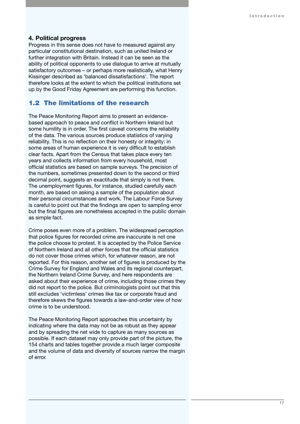#### **4. Political progress**

Progress in this sense does not have to measured against any particular constitutional destination, such as united Ireland or further integration with Britain. Instead it can be seen as the ability of political opponents to use dialogue to arrive at mutually satisfactory outcomes – or perhaps more realistically, what Henry Kissinger described as 'balanced dissatisfactions'. The report therefore looks at the extent to which the political institutions set up by the Good Friday Agreement are performing this function.

### 1.2 The limitations of the research

The Peace Monitoring Report aims to present an evidencebased approach to peace and conflict in Northern Ireland but some humility is in order. The first caveat concerns the reliability of the data. The various sources produce statistics of varying reliability. This is no reflection on their honesty or integrity: in some areas of human experience it is very difficult to establish clear facts. Apart from the Census that takes place every ten years and collects information from every household, most official statistics are based on sample surveys. The precision of the numbers, sometimes presented down to the second or third decimal point, suggests an exactitude that simply is not there. The unemployment figures, for instance, studied carefully each month, are based on asking a sample of the population about their personal circumstances and work. The Labour Force Survey is careful to point out that the findings are open to sampling error but the final figures are nonetheless accepted in the public domain as simple fact.

Crime poses even more of a problem. The widespread perception that police figures for recorded crime are inaccurate is not one the police choose to protest. It is accepted by the Police Service of Northern Ireland and all other forces that the official statistics do not cover those crimes which, for whatever reason, are not reported. For this reason, another set of figures is produced by the Crime Survey for England and Wales and its regional counterpart, the Northern Ireland Crime Survey, and here respondents are asked about their experience of crime, including those crimes they did not report to the police. But criminologists point out that this still excludes 'victimless' crimes like tax or corporate fraud and therefore skews the figures towards a law-and-order view of how crime is to be understood.

The Peace Monitoring Report approaches this uncertainty by indicating where the data may not be as robust as they appear and by spreading the net wide to capture as many sources as possible. If each dataset may only provide part of the picture, the 154 charts and tables together provide a much larger composite and the volume of data and diversity of sources narrow the margin of error.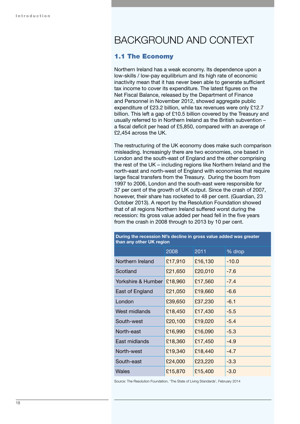## BACKGROUND AND CONTEXT

### 1.1 The Economy

Northern Ireland has a weak economy. Its dependence upon a low-skills / low-pay equilibrium and its high rate of economic inactivity mean that it has never been able to generate sufficient tax income to cover its expenditure. The latest figures on the Net Fiscal Balance, released by the Department of Finance and Personnel in November 2012, showed aggregate public expenditure of £23.2 billion, while tax revenues were only £12.7 billion. This left a gap of £10.5 billion covered by the Treasury and usually referred to in Northern Ireland as the British subvention – a fiscal deficit per head of £5,850, compared with an average of £2,454 across the UK.

The restructuring of the UK economy does make such comparison misleading. Increasingly there are two economies, one based in London and the south-east of England and the other comprising the rest of the UK – including regions like Northern Ireland and the north-east and north-west of England with economies that require large fiscal transfers from the Treasury. During the boom from 1997 to 2006, London and the south-east were responsible for 37 per cent of the growth of UK output. Since the crash of 2007, however, their share has rocketed to 48 per cent. (Guardian, 23 October 2013). A report by the Resolution Foundation showed that of all regions Northern Ireland suffered worst during the recession: Its gross value added per head fell in the five years from the crash in 2008 through to 2013 by 10 per cent.

| During the recession NI's decline in gross value added was greater<br>than any other UK region |         |         |         |  |  |
|------------------------------------------------------------------------------------------------|---------|---------|---------|--|--|
|                                                                                                | 2008    | 2011    | % drop  |  |  |
| Northern Ireland                                                                               | £17,910 | £16,130 | $-10.0$ |  |  |
| Scotland                                                                                       | £21,650 | £20,010 | $-7.6$  |  |  |
| Yorkshire & Humber                                                                             | £18,960 | £17,560 | $-7.4$  |  |  |
| East of England                                                                                | £21,050 | £19,660 | $-6.6$  |  |  |
| London                                                                                         | £39,650 | £37,230 | $-6.1$  |  |  |
| West midlands                                                                                  | £18,450 | £17,430 | $-5.5$  |  |  |
| South-west                                                                                     | £20,100 | £19,020 | $-5.4$  |  |  |
| North-east                                                                                     | £16,990 | £16,090 | $-5.3$  |  |  |
| East midlands                                                                                  | £18,360 | £17,450 | $-4.9$  |  |  |
| North-west                                                                                     | £19,340 | £18,440 | $-4.7$  |  |  |
| South-east                                                                                     | £24,000 | £23,220 | $-3.3$  |  |  |
| Wales                                                                                          | £15,870 | £15,400 | $-3.0$  |  |  |

Source: The Resolution Foundation, 'The State of Living Standards', February 2014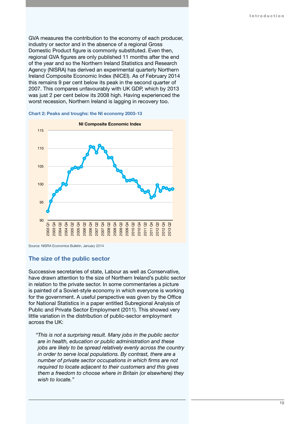GVA measures the contribution to the economy of each producer, industry or sector and in the absence of a regional Gross Domestic Product figure is commonly substituted. Even then, regional GVA figures are only published 11 months after the end of the year and so the Northern Ireland Statistics and Research Agency (NISRA) has derived an experimental quarterly Northern Ireland Composite Economic Index (NICEI). As of February 2014 this remains 9 per cent below its peak in the second quarter of 2007. This compares unfavourably with UK GDP, which by 2013 was just 2 per cent below its 2008 high. Having experienced the worst recession, Northern Ireland is lagging in recovery too.

#### **Chart 2: Peaks and troughs: the NI economy 2003-13**



Untitled 1 Source: NISRA Economics Bulletin, January 2014

#### **The size of the public sector**

Successive secretaries of state, Labour as well as Conservative, have drawn attention to the size of Northern Ireland's public sector in relation to the private sector. In some commentaries a picture is painted of a Soviet-style economy in which everyone is working for the government. A useful perspective was given by the Office for National Statistics in a paper entitled Subregional Analysis of Public and Private Sector Employment (2011). This showed very little variation in the distribution of public-sector employment across the UK:

*"This is not a surprising result. Many jobs in the public sector are in health, education or public administration and these jobs are likely to be spread relatively evenly across the country in order to serve local populations. By contrast, there are a number of private sector occupations in which firms are not required to locate adjacent to their customers and this gives them a freedom to choose where in Britain (or elsewhere) they wish to locate."*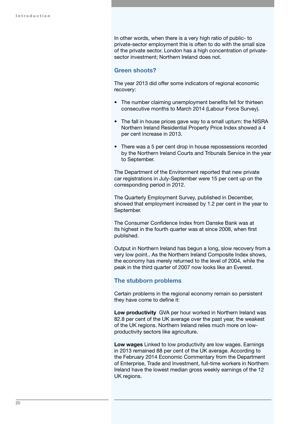In other words, when there is a very high ratio of public- to private-sector employment this is often to do with the small size of the private sector. London has a high concentration of privatesector investment; Northern Ireland does not.

#### **Green shoots?**

The year 2013 did offer some indicators of regional economic recovery:

- The number claiming unemployment benefits fell for thirteen consecutive months to March 2014 (Labour Force Survey).
- The fall in house prices gave way to a small upturn: the NISRA Northern Ireland Residential Property Price Index showed a 4 per cent increase in 2013.
- There was a 5 per cent drop in house repossessions recorded by the Northern Ireland Courts and Tribunals Service in the year to September.

The Department of the Environment reported that new private car registrations in July-September were 15 per cent up on the corresponding period in 2012.

The Quarterly Employment Survey, published in December, showed that employment increased by 1.2 per cent in the year to September.

The Consumer Confidence Index from Danske Bank was at its highest in the fourth quarter was at since 2008, when first published.

Output in Northern Ireland has begun a long, slow recovery from a very low point.. As the Northern Ireland Composite Index shows, the economy has merely returned to the level of 2004, while the peak in the third quarter of 2007 now looks like an Everest.

#### **The stubborn problems**

Certain problems in the regional economy remain so persistent they have come to define it:

**Low productivity** GVA per hour worked in Northern Ireland was 82.8 per cent of the UK average over the past year, the weakest of the UK regions. Northern Ireland relies much more on lowproductivity sectors like agriculture.

**Low wages** Linked to low productivity are low wages. Earnings in 2013 remained 88 per cent of the UK average. According to the February 2014 Economic Commentary from the Department of Enterprise, Trade and Investment, full-time workers in Northern Ireland have the lowest median gross weekly earnings of the 12 UK regions.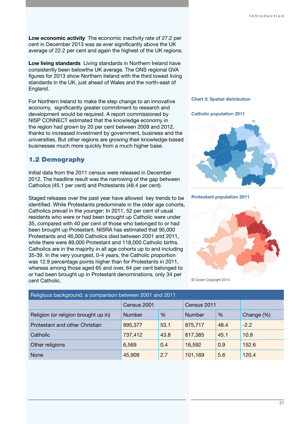**Low economic activity** The economic inactivity rate of 27.2 per cent in December 2013 was as ever significantly above the UK average of 22.2 per cent and again the highest of the UK regions.

**Low living standards** Living standards in Northern Ireland have consistently been belowthe UK average. The ONS regional GVA figures for 2013 show Northern Ireland with the third lowest living standards in the UK, just ahead of Wales and the north-east of England.

For Northern Ireland to make the step change to an innovative economy, significantly greater commitment to research and development would be required. A report commissioned by NISP CONNECT estimated that the knowledge economy in the region had grown by 20 per cent between 2009 and 2012, thanks to increased investment by government, business and the universities. But other regions are growing their knowledge-based businesses much more quickly from a much higher base.

## 1.2 Demography

Initial data from the 2011 census were released in December 2012. The headline result was the narrowing of the gap between Catholics (45.1 per cent) and Protestants (48.4 per cent).

Staged releases over the past year have allowed key trends to be identified. While Protestants predominate in the older age cohorts, Catholics prevail in the younger: In 2011, 52 per cent of usual residents who were or had been brought up Catholic were under 35, compared with 40 per cent of those who belonged to or had been brought up Protestant. NISRA has estimated that 95,000 Protestants and 46,000 Catholics died between 2001 and 2011, while there were 89,000 Protestant and 118,000 Catholic births. Catholics are in the majority in all age cohorts up to and including 35-39. In the very youngest, 0-4 years, the Catholic proportion was 12.9 percentage points higher than for Protestants in 2011, whereas among those aged 65 and over, 64 per cent belonged to or had been brought up in Protestant denominations, only 34 per cent Catholic.

#### **Chart 3: Spatial distribution**

#### **Catholic population 2011**



#### **Protestant population 2011**



© Crown Copyright 2014

| Religious background: a comparison between 2001 and 2011 |               |      |               |      |            |
|----------------------------------------------------------|---------------|------|---------------|------|------------|
|                                                          | Census 2001   |      | Census 2011   |      |            |
| Religion (or religion brought up in)                     | <b>Number</b> | %    | <b>Number</b> | %    | Change (%) |
| Protestant and other Christian                           | 895,377       | 53.1 | 875,717       | 48.4 | $-2.2$     |
| Catholic                                                 | 737,412       | 43.8 | 817,385       | 45.1 | 10.8       |
| Other religions                                          | 6,569         | 0.4  | 16,592        | 0.9  | 152.6      |
| None                                                     | 45,909        | 2.7  | 101,169       | 5.6  | 120.4      |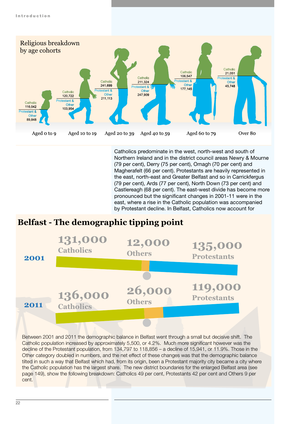

Catholics predominate in the west, north-west and south of Northern Ireland and in the district council areas Newry & Mourne (79 per cent), Derry (75 per cent), Omagh (70 per cent) and Magherafelt (66 per cent). Protestants are heavily represented in the east, north-east and Greater Belfast and so in Carrickfergus (79 per cent), Ards (77 per cent), North Down (73 per cent) and Castlereagh (68 per cent). The east-west divide has become more pronounced but the significant changes in 2001-11 were in the east, where a rise in the Catholic population was accompanied by Protestant decline. In Belfast, Catholics now account for

## **Belfast - The demographic tipping point**



Between 2001 and 2011 the demographic balance in Belfast went through a small but decisive shift. The Catholic population increased by approximately 5,500, or 4.2%. Much more significant however was the decline of the Protestant population, from 134,797 to 118,856 – a decline of 15,941, or 11.9%. Those in the Other category doubled in numbers, and the net effect of these changes was that the demographic balance tilted in such a way that Belfast which had, from its origin, been a Protestant majority city became a city where the Catholic population has the largest share. The new district boundaries for the enlarged Belfast area (see page 149), show the following breakdown: Catholics 49 per cent, Protestants 42 per cent and Others 9 per cent.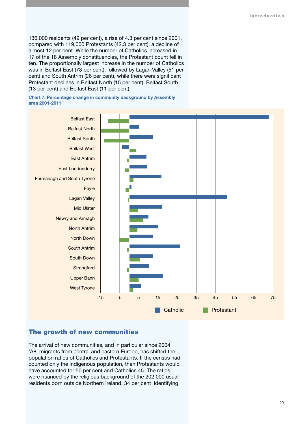136,000 residents (49 per cent), a rise of 4.3 per cent since 2001, compared with 119,000 Protestants (42.3 per cent), a decline of almost 12 per cent. While the number of Catholics increased in 17 of the 18 Assembly constituencies, the Protestant count fell in ten. The proportionally largest increase in the number of Catholics was in Belfast East (73 per cent), followed by Lagan Valley (51 per cent) and South Antrim (26 per cent), while there were significant Protestant declines in Belfast North (15 per cent), Belfast South (13 per cent) and Belfast East (11 per cent).

**Chart 7: Percentage change in community background by Assembly area 2001-2011**



## The growth of new communities

The arrival of new communities, and in particular since 2004 'A8' migrants from central and eastern Europe, has shifted the population ratios of Catholics and Protestants. If the census had counted only the indigenous population, then Protestants would have accounted for 50 per cent and Catholics 45. The ratios were nuanced by the religious background of the 202,000 usual residents born outside Northern Ireland, 34 per cent identifying